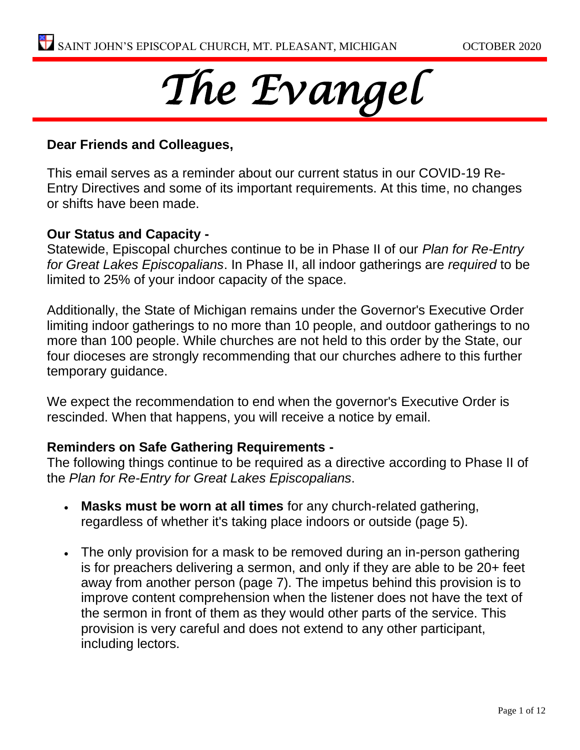

# **Dear Friends and Colleagues,**

This email serves as a reminder about our current status in our COVID-19 Re-Entry Directives and some of its important requirements. At this time, no changes or shifts have been made.

## **Our Status and Capacity -**

Statewide, Episcopal churches continue to be in Phase II of our *Plan for Re-Entry for Great Lakes Episcopalians*. In Phase II, all indoor gatherings are *required* to be limited to 25% of your indoor capacity of the space.

Additionally, the State of Michigan remains under the Governor's Executive Order limiting indoor gatherings to no more than 10 people, and outdoor gatherings to no more than 100 people. While churches are not held to this order by the State, our four dioceses are strongly recommending that our churches adhere to this further temporary guidance.

We expect the recommendation to end when the governor's Executive Order is rescinded. When that happens, you will receive a notice by email.

## **Reminders on Safe Gathering Requirements -**

The following things continue to be required as a directive according to Phase II of the *Plan for Re-Entry for Great Lakes Episcopalians*.

- **Masks must be worn at all times** for any church-related gathering, regardless of whether it's taking place indoors or outside (page 5).
- The only provision for a mask to be removed during an in-person gathering is for preachers delivering a sermon, and only if they are able to be 20+ feet away from another person (page 7). The impetus behind this provision is to improve content comprehension when the listener does not have the text of the sermon in front of them as they would other parts of the service. This provision is very careful and does not extend to any other participant, including lectors.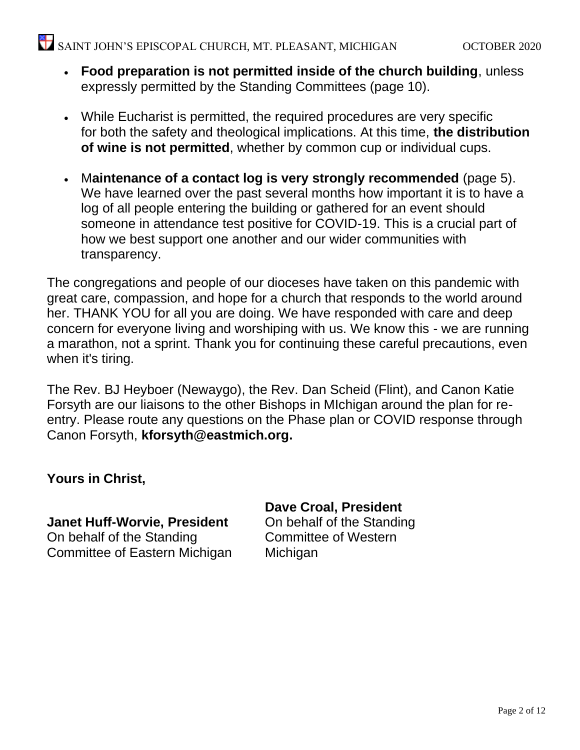- **Food preparation is not permitted inside of the church building**, unless expressly permitted by the Standing Committees (page 10).
- While Eucharist is permitted, the required procedures are very specific for both the safety and theological implications. At this time, **the distribution of wine is not permitted**, whether by common cup or individual cups.
- M**aintenance of a contact log is very strongly recommended** (page 5). We have learned over the past several months how important it is to have a log of all people entering the building or gathered for an event should someone in attendance test positive for COVID-19. This is a crucial part of how we best support one another and our wider communities with transparency.

The congregations and people of our dioceses have taken on this pandemic with great care, compassion, and hope for a church that responds to the world around her. THANK YOU for all you are doing. We have responded with care and deep concern for everyone living and worshiping with us. We know this - we are running a marathon, not a sprint. Thank you for continuing these careful precautions, even when it's tiring.

The Rev. BJ Heyboer (Newaygo), the Rev. Dan Scheid (Flint), and Canon Katie Forsyth are our liaisons to the other Bishops in MIchigan around the plan for reentry. Please route any questions on the Phase plan or COVID response through Canon Forsyth, **[kforsyth@eastmich.org.](http://kforsyth@eastmich.org)**

# **Yours in Christ,**

**Janet Huff-Worvie, President** On behalf of the Standing Committee of Eastern Michigan **Dave Croal, President** On behalf of the Standing

Committee of Western **Michigan**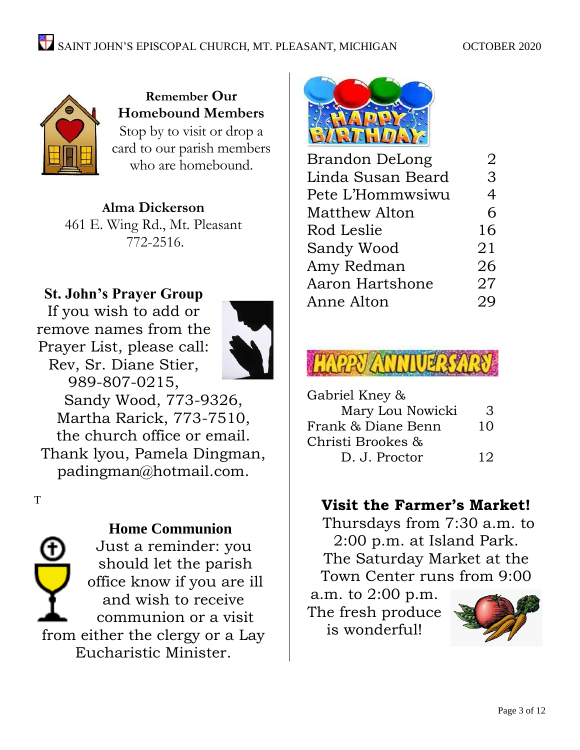

**Remember Our Homebound Members** Stop by to visit or drop a card to our parish members who are homebound.

**Alma Dickerson** 461 E. Wing Rd., Mt. Pleasant 772-2516.

# **St. John's Prayer Group**

If you wish to add or remove names from the Prayer List, please call: Rev, Sr. Diane Stier, 989-807-0215,



Sandy Wood, 773-9326, Martha Rarick, 773-7510, the church office or email. Thank lyou, Pamela Dingman, padingman@hotmail.com.

T

# **Home Communion**

Just a reminder: you should let the parish office know if you are ill and wish to receive communion or a visit from either the clergy or a Lay Eucharistic Minister.



| Brandon DeLong    | 2  |
|-------------------|----|
| Linda Susan Beard | 3  |
| Pete L'Hommwsiwu  | 4  |
| Matthew Alton     | 6  |
| Rod Leslie        | 16 |
| Sandy Wood        | 21 |
| Amy Redman        | 26 |
| Aaron Hartshone   | 27 |
| Anne Alton        | 29 |
|                   |    |



| Gabriel Kney &     |    |
|--------------------|----|
| Mary Lou Nowicki   | 3  |
| Frank & Diane Benn | 10 |
| Christi Brookes &  |    |
| D. J. Proctor      | 12 |
|                    |    |

# **Visit the Farmer's Market!**

Thursdays from 7:30 a.m. to 2:00 p.m. at Island Park. The Saturday Market at the Town Center runs from 9:00

a.m. to 2:00 p.m. The fresh produce is wonderful!

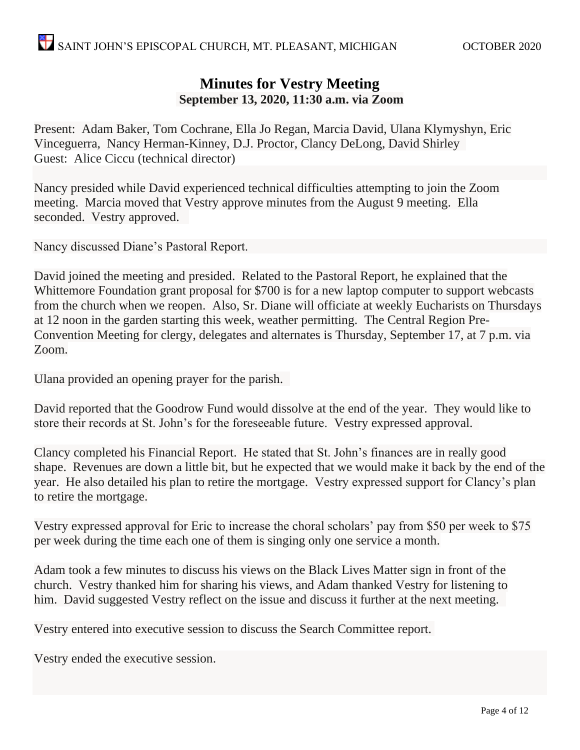# **Minutes for Vestry Meeting September 13, 2020, 11:30 a.m. via Zoom**

Present: Adam Baker, Tom Cochrane, Ella Jo Regan, Marcia David, Ulana Klymyshyn, Eric Vinceguerra, Nancy Herman-Kinney, D.J. Proctor, Clancy DeLong, David Shirley Guest: Alice Ciccu (technical director)

Nancy presided while David experienced technical difficulties attempting to join the Zoom meeting. Marcia moved that Vestry approve minutes from the August 9 meeting. Ella seconded. Vestry approved.

Nancy discussed Diane's Pastoral Report.

David joined the meeting and presided. Related to the Pastoral Report, he explained that the Whittemore Foundation grant proposal for \$700 is for a new laptop computer to support webcasts from the church when we reopen. Also, Sr. Diane will officiate at weekly Eucharists on Thursdays at 12 noon in the garden starting this week, weather permitting. The Central Region Pre-Convention Meeting for clergy, delegates and alternates is Thursday, September 17, at 7 p.m. via Zoom.

Ulana provided an opening prayer for the parish.

David reported that the Goodrow Fund would dissolve at the end of the year. They would like to store their records at St. John's for the foreseeable future. Vestry expressed approval.

Clancy completed his Financial Report. He stated that St. John's finances are in really good shape. Revenues are down a little bit, but he expected that we would make it back by the end of the year. He also detailed his plan to retire the mortgage. Vestry expressed support for Clancy's plan to retire the mortgage.

Vestry expressed approval for Eric to increase the choral scholars' pay from \$50 per week to \$75 per week during the time each one of them is singing only one service a month.

Adam took a few minutes to discuss his views on the Black Lives Matter sign in front of the church. Vestry thanked him for sharing his views, and Adam thanked Vestry for listening to him. David suggested Vestry reflect on the issue and discuss it further at the next meeting.

Vestry entered into executive session to discuss the Search Committee report.

Vestry ended the executive session.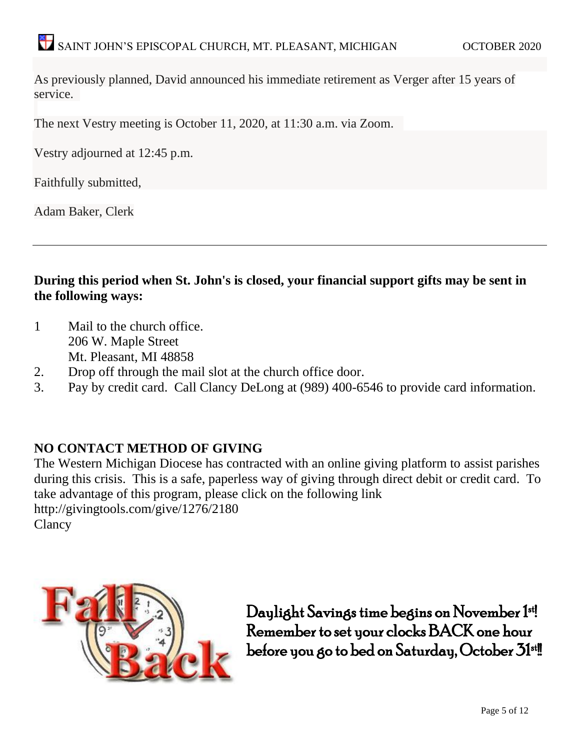As previously planned, David announced his immediate retirement as Verger after 15 years of service.

The next Vestry meeting is October 11, 2020, at 11:30 a.m. via Zoom.

Vestry adjourned at 12:45 p.m.

Faithfully submitted,

Adam Baker, Clerk

**During this period when St. John's is closed, your financial support gifts may be sent in the following ways:**

- 1 Mail to the church office. 206 W. Maple Street Mt. Pleasant, MI 48858
- 2. Drop off through the mail slot at the church office door.
- 3. Pay by credit card. Call Clancy DeLong at (989) 400-6546 to provide card information.

## **NO CONTACT METHOD OF GIVING**

The Western Michigan Diocese has contracted with an online giving platform to assist parishes during this crisis. This is a safe, paperless way of giving through direct debit or credit card. To take advantage of this program, please click on the following link <http://givingtools.com/give/1276/2180> **Clancy** 



Daylight Savings time begins on November 1st! Remember to set your clocks BACK one hour before you go to bed on Saturday, October 31<sup>st</sup>!!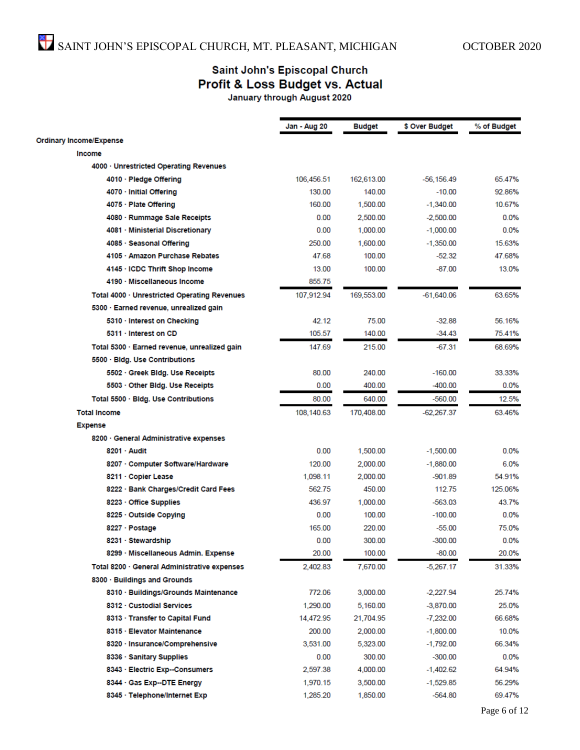# Saint John's Episcopal Church Profit & Loss Budget vs. Actual

January through August 2020

|                                              | Jan - Aug 20 | <b>Budget</b> | \$ Over Budget | % of Budget |
|----------------------------------------------|--------------|---------------|----------------|-------------|
| <b>Ordinary Income/Expense</b>               |              |               |                |             |
| Income                                       |              |               |                |             |
| 4000 · Unrestricted Operating Revenues       |              |               |                |             |
| 4010 · Pledge Offering                       | 106,456.51   | 162,613.00    | -56,156.49     | 65.47%      |
| 4070 · Initial Offering                      | 130.00       | 140.00        | $-10.00$       | 92.86%      |
| 4075 · Plate Offering                        | 160.00       | 1,500.00      | $-1,340.00$    | 10.67%      |
| 4080 · Rummage Sale Receipts                 | 0.00         | 2,500.00      | $-2,500.00$    | 0.0%        |
| 4081 · Ministerial Discretionary             | 0.00         | 1,000.00      | $-1,000.00$    | 0.0%        |
| 4085 · Seasonal Offering                     | 250.00       | 1,600.00      | $-1,350.00$    | 15.63%      |
| 4105 · Amazon Purchase Rebates               | 47.68        | 100.00        | $-52.32$       | 47.68%      |
| 4145 · ICDC Thrift Shop Income               | 13.00        | 100.00        | $-87.00$       | 13.0%       |
| 4190 · Miscellaneous Income                  | 855.75       |               |                |             |
| Total 4000 · Unrestricted Operating Revenues | 107,912.94   | 169,553.00    | $-61,640.06$   | 63.65%      |
| 5300 · Earned revenue, unrealized gain       |              |               |                |             |
| 5310 · Interest on Checking                  | 42.12        | 75.00         | $-32.88$       | 56.16%      |
| 5311 · Interest on CD                        | 105.57       | 140.00        | $-34.43$       | 75.41%      |
| Total 5300 · Earned revenue, unrealized gain | 147.69       | 215.00        | $-67.31$       | 68.69%      |
| 5500 · Bidg. Use Contributions               |              |               |                |             |
| 5502 · Greek Bidg. Use Receipts              | 80.00        | 240.00        | $-160.00$      | 33.33%      |
| 5503 · Other Bidg. Use Receipts              | 0.00         | 400.00        | $-400.00$      | 0.0%        |
| Total 5500 · Bidg. Use Contributions         | 80.00        | 640.00        | $-560.00$      | 12.5%       |
| <b>Total Income</b>                          | 108,140.63   | 170,408.00    | -62,267.37     | 63.46%      |
| <b>Expense</b>                               |              |               |                |             |
| 8200 · General Administrative expenses       |              |               |                |             |
| 8201 · Audit                                 | 0.00         | 1,500.00      | $-1,500.00$    | 0.0%        |
| 8207 · Computer Software/Hardware            | 120.00       | 2,000.00      | $-1,880.00$    | 6.0%        |
| 8211 · Copier Lease                          | 1,098.11     | 2,000.00      | $-901.89$      | 54.91%      |
| 8222 · Bank Charges/Credit Card Fees         | 562.75       | 450.00        | 112.75         | 125.06%     |
| 8223 · Office Supplies                       | 436.97       | 1,000.00      | -563.03        | 43.7%       |
| 8225 · Outside Copying                       | 0.00         | 100.00        | $-100.00$      | $0.0\%$     |
| 8227 · Postage                               | 165.00       | 220.00        | $-55.00$       | 75.0%       |
| 8231 · Stewardship                           | 0.00         | 300.00        | $-300.00$      | 0.0%        |
| 8299 · Miscellaneous Admin. Expense          | 20.00        | 100.00        | $-80.00$       | 20.0%       |
| Total 8200 · General Administrative expenses | 2,402.83     | 7,670.00      | $-5,267.17$    | 31.33%      |
| 8300 · Buildings and Grounds                 |              |               |                |             |
| 8310 · Buildings/Grounds Maintenance         | 772.06       | 3,000.00      | $-2,227.94$    | 25.74%      |
| 8312 · Custodial Services                    | 1,290.00     | 5,160.00      | $-3,870.00$    | 25.0%       |
| 8313 · Transfer to Capital Fund              | 14,472.95    | 21,704.95     | $-7,232.00$    | 66.68%      |
| 8315 · Elevator Maintenance                  | 200.00       | 2,000.00      | $-1,800.00$    | 10.0%       |
| 8320 · Insurance/Comprehensive               | 3,531.00     | 5,323.00      | $-1,792.00$    | 66.34%      |
| 8336 · Sanitary Supplies                     | 0.00         | 300.00        | $-300.00$      | 0.0%        |
| 8343 · Electric Exp--Consumers               | 2,597.38     | 4,000.00      | $-1,402.62$    | 64.94%      |
| 8344 · Gas Exp--DTE Energy                   | 1,970.15     | 3,500.00      | $-1,529.85$    | 56.29%      |
| 8345 · Telephone/Internet Exp                | 1,285.20     | 1,850.00      | -564.80        | 69.47%      |
|                                              |              |               |                |             |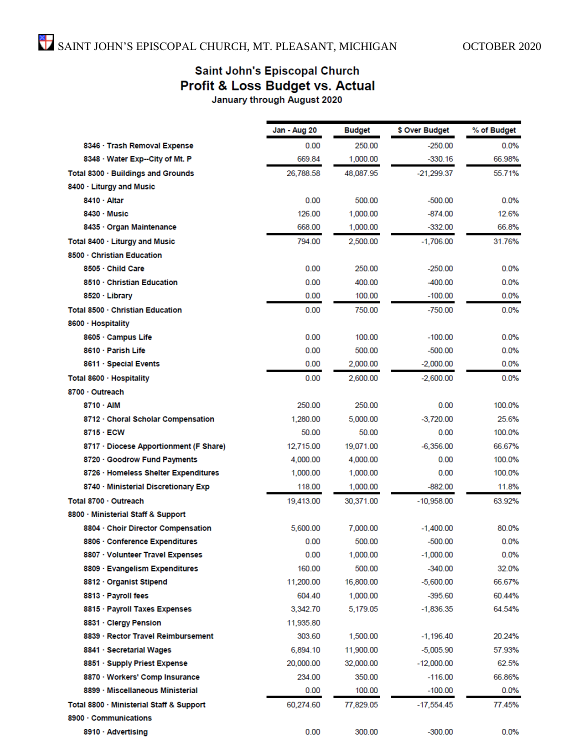# Saint John's Episcopal Church **Profit & Loss Budget vs. Actual**<br>January through August 2020

|                                          | Jan - Aug 20 | <b>Budget</b> | \$ Over Budget | % of Budget |
|------------------------------------------|--------------|---------------|----------------|-------------|
| 8346 · Trash Removal Expense             | 0.00         | 250.00        | $-250.00$      | 0.0%        |
| 8348 · Water Exp--City of Mt. P          | 669.84       | 1,000.00      | $-330.16$      | 66.98%      |
| Total 8300 · Buildings and Grounds       | 26,788.58    | 48.087.95     | $-21,299.37$   | 55.71%      |
| 8400 · Liturgy and Music                 |              |               |                |             |
| 8410 · Altar                             | 0.00         | 500.00        | $-500.00$      | 0.0%        |
| $8430 \cdot$ Music                       | 126.00       | 1,000.00      | -874.00        | 12.6%       |
| 8435 · Organ Maintenance                 | 668.00       | 1,000.00      | $-332.00$      | 66.8%       |
| Total 8400 · Liturgy and Music           | 794.00       | 2,500.00      | $-1,706.00$    | 31.76%      |
| 8500 · Christian Education               |              |               |                |             |
| 8505 · Child Care                        | 0.00         | 250.00        | $-250.00$      | 0.0%        |
| 8510 Christian Education                 | 0.00         | 400.00        | $-400.00$      | 0.0%        |
| 8520 · Library                           | 0.00         | 100.00        | $-100.00$      | $0.0\%$     |
| Total 8500 · Christian Education         | 0.00         | 750.00        | $-750.00$      | 0.0%        |
| 8600 · Hospitality                       |              |               |                |             |
| 8605 · Campus Life                       | 0.00         | 100.00        | $-100.00$      | 0.0%        |
| 8610 · Parish Life                       | 0.00         | 500.00        | $-500.00$      | 0.0%        |
| 8611 · Special Events                    | 0.00         | 2,000.00      | $-2,000.00$    | 0.0%        |
| Total 8600 · Hospitality                 | 0.00         | 2,600.00      | $-2,600.00$    | 0.0%        |
| 8700 · Outreach                          |              |               |                |             |
| 8710 · AIM                               | 250.00       | 250.00        | 0.00           | 100.0%      |
| 8712 · Choral Scholar Compensation       | 1.280.00     | 5,000.00      | $-3.720.00$    | 25.6%       |
| 8715 · ECW                               | 50.00        | 50.00         | 0.00           | 100.0%      |
| 8717 · Diocese Apportionment (F Share)   | 12,715.00    | 19,071.00     | $-6,356.00$    | 66.67%      |
| 8720 · Goodrow Fund Payments             | 4,000.00     | 4,000.00      | 0.00           | 100.0%      |
| 8726 · Homeless Shelter Expenditures     | 1,000.00     | 1,000.00      | 0.00           | 100.0%      |
| 8740 · Ministerial Discretionary Exp     | 118.00       | 1,000.00      | $-882.00$      | 11.8%       |
| Total 8700 · Outreach                    | 19,413.00    | 30,371.00     | $-10,958.00$   | 63.92%      |
| 8800 Ministerial Staff & Support         |              |               |                |             |
| 8804 · Choir Director Compensation       | 5,600.00     | 7,000.00      | $-1,400.00$    | 80.0%       |
| 8806 · Conference Expenditures           | 0.00         | 500.00        | $-500.00$      | 0.0%        |
| 8807 · Volunteer Travel Expenses         | 0.00         | 1,000.00      | $-1,000.00$    | 0.0%        |
| 8809 · Evangelism Expenditures           | 160.00       | 500.00        | $-340.00$      | 32.0%       |
| 8812 · Organist Stipend                  | 11,200.00    | 16,800.00     | $-5,600.00$    | 66.67%      |
| 8813 · Payroll fees                      | 604.40       | 1,000.00      | -395.60        | 60.44%      |
| 8815 · Payroll Taxes Expenses            | 3,342.70     | 5,179.05      | $-1,836.35$    | 64.54%      |
| 8831 · Clergy Pension                    | 11,935.80    |               |                |             |
| 8839 · Rector Travel Reimbursement       | 303.60       | 1,500.00      | $-1,196.40$    | 20.24%      |
| 8841 · Secretarial Wages                 | 6,894.10     | 11,900.00     | $-5,005.90$    | 57.93%      |
| 8851 · Supply Priest Expense             | 20,000.00    | 32,000.00     | $-12,000.00$   | 62.5%       |
| 8870 · Workers' Comp Insurance           | 234.00       | 350.00        | $-116.00$      | 66.86%      |
| 8899 · Miscellaneous Ministerial         | 0.00         | 100.00        | $-100.00$      | 0.0%        |
| Total 8800 · Ministerial Staff & Support | 60,274.60    | 77,829.05     | -17,554.45     | 77.45%      |
| 8900 Communications                      |              |               |                |             |
| 8910 · Advertising                       | 0.00         | 300.00        | -300.00        | 0.0%        |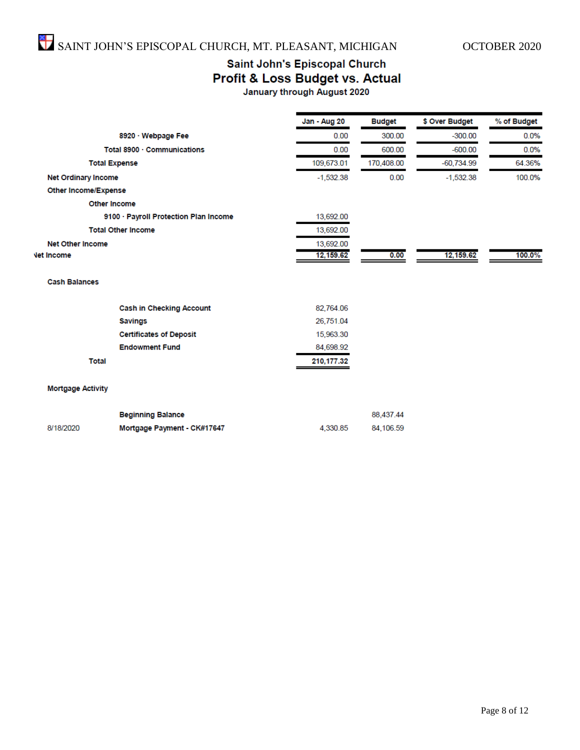# Saint John's Episcopal Church Profit & Loss Budget vs. Actual

|  | January through August 2020 |  |  |  |  |
|--|-----------------------------|--|--|--|--|
|  |                             |  |  |  |  |

|                                       | Jan - Aug 20 | <b>Budget</b> | \$ Over Budget | % of Budget |
|---------------------------------------|--------------|---------------|----------------|-------------|
| 8920 · Webpage Fee                    | 0.00         | 300.00        | $-300.00$      | 0.0%        |
| Total 8900 · Communications           | 0.00         | 600.00        | $-600.00$      | 0.0%        |
| <b>Total Expense</b>                  | 109,673.01   | 170,408.00    | $-60,734.99$   | 64.36%      |
| <b>Net Ordinary Income</b>            | $-1,532.38$  | 0.00          | $-1,532.38$    | 100.0%      |
| Other Income/Expense                  |              |               |                |             |
| <b>Other Income</b>                   |              |               |                |             |
| 9100 · Payroll Protection Plan Income | 13,692.00    |               |                |             |
| <b>Total Other Income</b>             | 13,692.00    |               |                |             |
| <b>Net Other Income</b>               | 13,692.00    |               |                |             |
| <b>Vet Income</b>                     | 12,159.62    | 0.00          | 12,159.62      | 100.0%      |
| <b>Cash Balances</b>                  |              |               |                |             |
| <b>Cash in Checking Account</b>       | 82,764.06    |               |                |             |
| <b>Savings</b>                        | 26,751.04    |               |                |             |
| <b>Certificates of Deposit</b>        | 15,963.30    |               |                |             |
| <b>Endowment Fund</b>                 | 84,698.92    |               |                |             |
| <b>Total</b>                          | 210,177.32   |               |                |             |

#### **Mortgage Activity**

|           | <b>Beginning Balance</b>    |          | 88,437,44 |
|-----------|-----------------------------|----------|-----------|
| 8/18/2020 | Mortgage Payment - CK#17647 | 4.330.85 | 84.106.59 |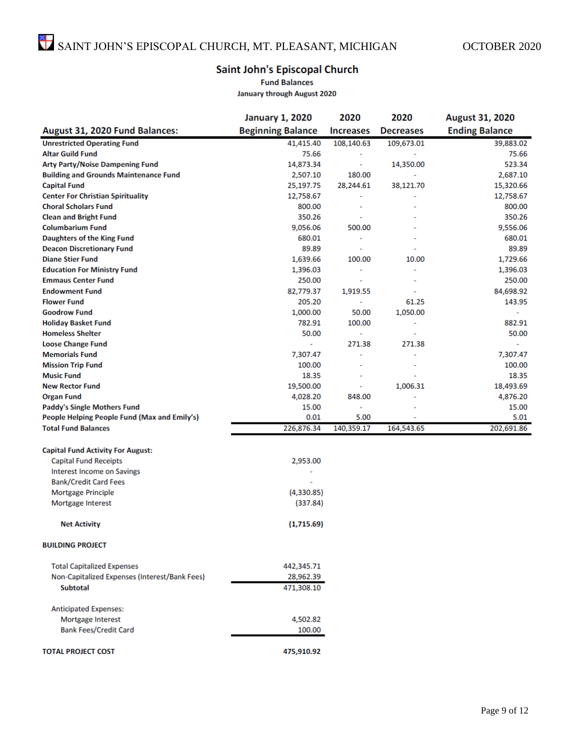### Saint John's Episcopal Church

**Fund Balances** 

**January through August 2020** 

|                                               | <b>January 1, 2020</b>   | 2020             | 2020             | August 31, 2020       |
|-----------------------------------------------|--------------------------|------------------|------------------|-----------------------|
| August 31, 2020 Fund Balances:                | <b>Beginning Balance</b> | <b>Increases</b> | <b>Decreases</b> | <b>Ending Balance</b> |
| <b>Unrestricted Operating Fund</b>            | 41,415.40                | 108,140.63       | 109,673.01       | 39,883.02             |
| <b>Altar Guild Fund</b>                       | 75.66                    |                  |                  | 75.66                 |
| <b>Arty Party/Noise Dampening Fund</b>        | 14,873.34                | ٠                | 14,350.00        | 523.34                |
| <b>Building and Grounds Maintenance Fund</b>  | 2,507.10                 | 180.00           |                  | 2,687.10              |
| <b>Capital Fund</b>                           | 25,197.75                | 28,244.61        | 38,121.70        | 15,320.66             |
| <b>Center For Christian Spirituality</b>      | 12,758.67                |                  |                  | 12,758.67             |
| <b>Choral Scholars Fund</b>                   | 800.00                   |                  |                  | 800.00                |
| <b>Clean and Bright Fund</b>                  | 350.26                   |                  |                  | 350.26                |
| <b>Columbarium Fund</b>                       | 9,056.06                 | 500.00           |                  | 9,556.06              |
| Daughters of the King Fund                    | 680.01                   | ٠                |                  | 680.01                |
| <b>Deacon Discretionary Fund</b>              | 89.89                    |                  |                  | 89.89                 |
| <b>Diane Stier Fund</b>                       | 1,639.66                 | 100.00           | 10.00            | 1,729.66              |
| <b>Education For Ministry Fund</b>            | 1,396.03                 | ٠                |                  | 1,396.03              |
| <b>Emmaus Center Fund</b>                     | 250.00                   | ٠                |                  | 250.00                |
| <b>Endowment Fund</b>                         | 82,779.37                | 1,919.55         | ٠                | 84,698.92             |
| <b>Flower Fund</b>                            | 205.20                   |                  | 61.25            | 143.95                |
| <b>Goodrow Fund</b>                           | 1,000.00                 | 50.00            | 1,050.00         |                       |
| <b>Holiday Basket Fund</b>                    | 782.91                   | 100.00           |                  | 882.91                |
| <b>Homeless Shelter</b>                       | 50.00                    |                  |                  | 50.00                 |
| <b>Loose Change Fund</b>                      | ÷                        | 271.38           | 271.38           | ٠                     |
| <b>Memorials Fund</b>                         | 7,307.47                 | ٠                |                  | 7,307.47              |
| <b>Mission Trip Fund</b>                      | 100.00                   |                  |                  | 100.00                |
| <b>Music Fund</b>                             | 18.35                    | à,               | i.               | 18.35                 |
| <b>New Rector Fund</b>                        | 19,500.00                | ٠                | 1,006.31         | 18,493.69             |
| <b>Organ Fund</b>                             | 4,028.20                 | 848.00           |                  | 4,876.20              |
| <b>Paddy's Single Mothers Fund</b>            | 15.00                    | ٠                |                  | 15.00                 |
| People Helping People Fund (Max and Emily's)  | 0.01                     | 5.00             |                  | 5.01                  |
| <b>Total Fund Balances</b>                    | 226,876.34               | 140,359.17       | 164,543.65       | 202,691.86            |
| <b>Capital Fund Activity For August:</b>      |                          |                  |                  |                       |
| <b>Capital Fund Receipts</b>                  | 2,953.00                 |                  |                  |                       |
| <b>Interest Income on Savings</b>             |                          |                  |                  |                       |
| <b>Bank/Credit Card Fees</b>                  |                          |                  |                  |                       |
| Mortgage Principle                            | (4,330.85)               |                  |                  |                       |
| Mortgage Interest                             | (337.84)                 |                  |                  |                       |
| <b>Net Activity</b>                           | (1,715.69)               |                  |                  |                       |
| <b>BUILDING PROJECT</b>                       |                          |                  |                  |                       |
| <b>Total Capitalized Expenses</b>             | 442,345.71               |                  |                  |                       |
| Non-Capitalized Expenses (Interest/Bank Fees) | 28,962.39                |                  |                  |                       |
| <b>Subtotal</b>                               | 471,308.10               |                  |                  |                       |
| <b>Anticipated Expenses:</b>                  |                          |                  |                  |                       |
| Mortgage Interest                             | 4,502.82                 |                  |                  |                       |
| <b>Bank Fees/Credit Card</b>                  | 100.00                   |                  |                  |                       |
| <b>TOTAL PROJECT COST</b>                     | 475,910.92               |                  |                  |                       |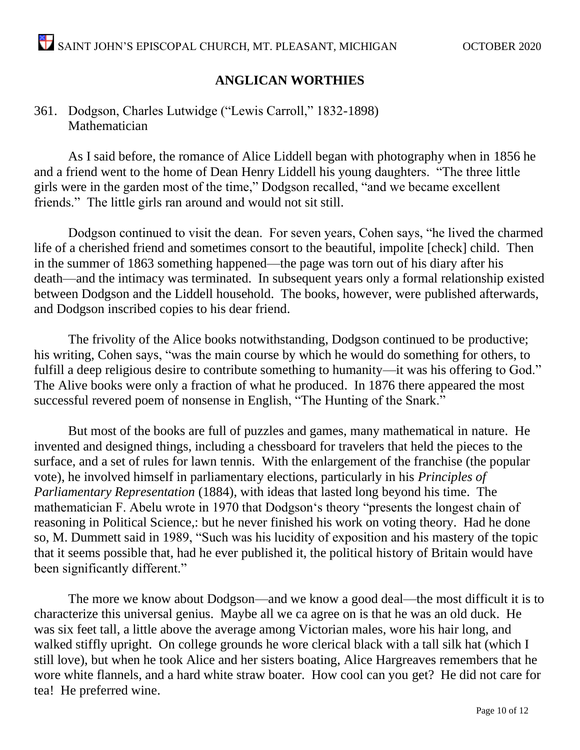# **ANGLICAN WORTHIES**

# 361. Dodgson, Charles Lutwidge ("Lewis Carroll," 1832-1898) Mathematician

As I said before, the romance of Alice Liddell began with photography when in 1856 he and a friend went to the home of Dean Henry Liddell his young daughters. "The three little girls were in the garden most of the time," Dodgson recalled, "and we became excellent friends." The little girls ran around and would not sit still.

Dodgson continued to visit the dean. For seven years, Cohen says, "he lived the charmed life of a cherished friend and sometimes consort to the beautiful, impolite [check] child. Then in the summer of 1863 something happened—the page was torn out of his diary after his death—and the intimacy was terminated. In subsequent years only a formal relationship existed between Dodgson and the Liddell household. The books, however, were published afterwards, and Dodgson inscribed copies to his dear friend.

The frivolity of the Alice books notwithstanding, Dodgson continued to be productive; his writing, Cohen says, "was the main course by which he would do something for others, to fulfill a deep religious desire to contribute something to humanity—it was his offering to God." The Alive books were only a fraction of what he produced. In 1876 there appeared the most successful revered poem of nonsense in English, "The Hunting of the Snark."

But most of the books are full of puzzles and games, many mathematical in nature. He invented and designed things, including a chessboard for travelers that held the pieces to the surface, and a set of rules for lawn tennis. With the enlargement of the franchise (the popular vote), he involved himself in parliamentary elections, particularly in his *Principles of Parliamentary Representation* (1884), with ideas that lasted long beyond his time. The mathematician F. Abelu wrote in 1970 that Dodgson's theory "presents the longest chain of reasoning in Political Science,: but he never finished his work on voting theory. Had he done so, M. Dummett said in 1989, "Such was his lucidity of exposition and his mastery of the topic that it seems possible that, had he ever published it, the political history of Britain would have been significantly different."

The more we know about Dodgson—and we know a good deal—the most difficult it is to characterize this universal genius. Maybe all we ca agree on is that he was an old duck. He was six feet tall, a little above the average among Victorian males, wore his hair long, and walked stiffly upright. On college grounds he wore clerical black with a tall silk hat (which I still love), but when he took Alice and her sisters boating, Alice Hargreaves remembers that he wore white flannels, and a hard white straw boater. How cool can you get? He did not care for tea! He preferred wine.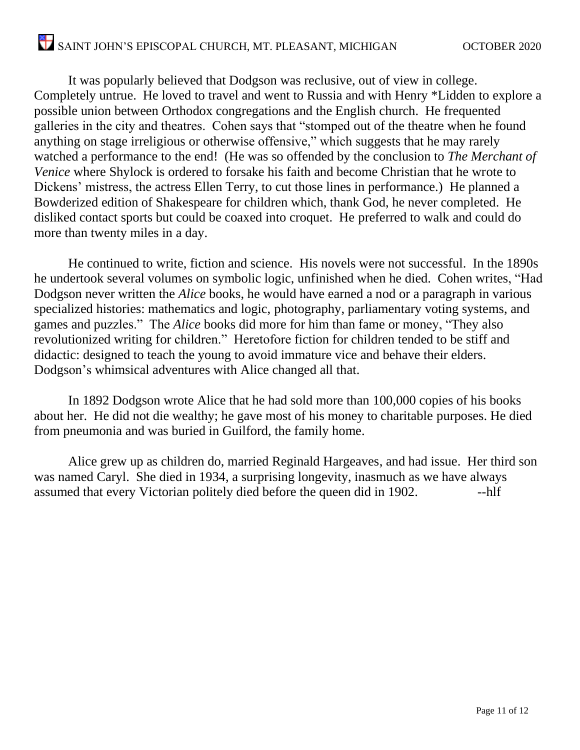It was popularly believed that Dodgson was reclusive, out of view in college. Completely untrue. He loved to travel and went to Russia and with Henry \*Lidden to explore a possible union between Orthodox congregations and the English church. He frequented galleries in the city and theatres. Cohen says that "stomped out of the theatre when he found anything on stage irreligious or otherwise offensive," which suggests that he may rarely watched a performance to the end! (He was so offended by the conclusion to *The Merchant of Venice* where Shylock is ordered to forsake his faith and become Christian that he wrote to Dickens' mistress, the actress Ellen Terry, to cut those lines in performance.) He planned a Bowderized edition of Shakespeare for children which, thank God, he never completed. He disliked contact sports but could be coaxed into croquet. He preferred to walk and could do more than twenty miles in a day.

He continued to write, fiction and science. His novels were not successful. In the 1890s he undertook several volumes on symbolic logic, unfinished when he died. Cohen writes, "Had Dodgson never written the *Alice* books, he would have earned a nod or a paragraph in various specialized histories: mathematics and logic, photography, parliamentary voting systems, and games and puzzles." The *Alice* books did more for him than fame or money, "They also revolutionized writing for children." Heretofore fiction for children tended to be stiff and didactic: designed to teach the young to avoid immature vice and behave their elders. Dodgson's whimsical adventures with Alice changed all that.

In 1892 Dodgson wrote Alice that he had sold more than 100,000 copies of his books about her. He did not die wealthy; he gave most of his money to charitable purposes. He died from pneumonia and was buried in Guilford, the family home.

Alice grew up as children do, married Reginald Hargeaves, and had issue. Her third son was named Caryl. She died in 1934, a surprising longevity, inasmuch as we have always assumed that every Victorian politely died before the queen did in 1902.